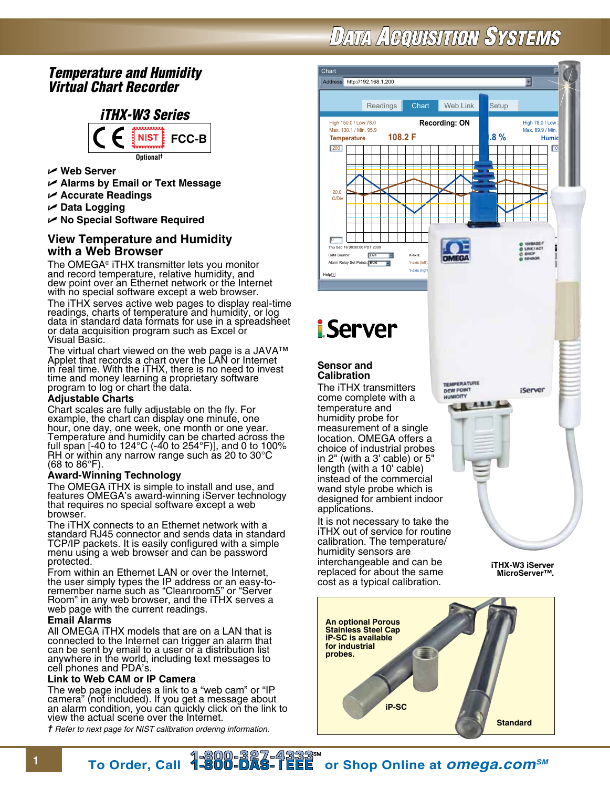# **DATA ACQUISITION SYSTEMS**

## *Temperature and Humidity Virtual Chart Recorder*



- U **Web Server**
- U **Alarms by Email or Text Message**
- U **Accurate Readings**
- U **Data Logging**

U **No Special Software Required**

### **View Temperature and Humidity with a Web Browser**

The OMEGA® iTHX transmitter lets you monitor and record temperature, relative humidity, and dew point over an Ethernet network or the Internet with no special software except a web browser. The iTHX serves active web pages to display real-time readings, charts of temperature and humidity, or log data in standard data formats for use in a spreadsheet or data acquisition program such as Excel or Visual Basic.

The virtual chart viewed on the web page is a JAVA™ Applet that records a chart over the LAN or Internet in real time. With the iTHX, there is no need to invest time and money learning a proprietary software program to log or chart the data.

#### **Adjustable Charts**

Chart scales are fully adjustable on the fly. For example, the chart can display one minute, one hour, one day, one week, one month or one year. Temperature and humidity can be charted across the full span [-40 to 124°C (-40 to 254°F)], and 0 to 100% RH or within any narrow range such as 20 to 30°C (68 to 86°F).

#### **Award-Winning Technology**

The OMEGA iTHX is simple to install and use, and features OMEGA's award-winning iServer technology that requires no special software except a web browser.

The iTHX connects to an Ethernet network with a standard RJ45 connector and sends data in standard TCP/IP packets. It is easily configured with a simple menu using a web browser and can be password protected.

From within an Ethernet LAN or over the Internet, the user simply types the IP address or an easy-toremember name such as "Cleanroom5" or "Server Room" in any web browser, and the iTHX serves a web page with the current readings.

#### **Email Alarms**

All OMEGA iTHX models that are on a LAN that is connected to the Internet can trigger an alarm that can be sent by email to a user or a distribution list anywhere in the world, including text messages to cell phones and PDA's.

#### **Link to Web CAM or IP Camera**

The web page includes a link to a "web cam" or "IP camera" (not included). If you get a message about an alarm condition, you can quickly click on the link to view the actual scene over the Internet.

*† Refer to next page for NIST calibration ordering information.*



**MicroServer™.**



replaced for about the same cost as a typical calibration.